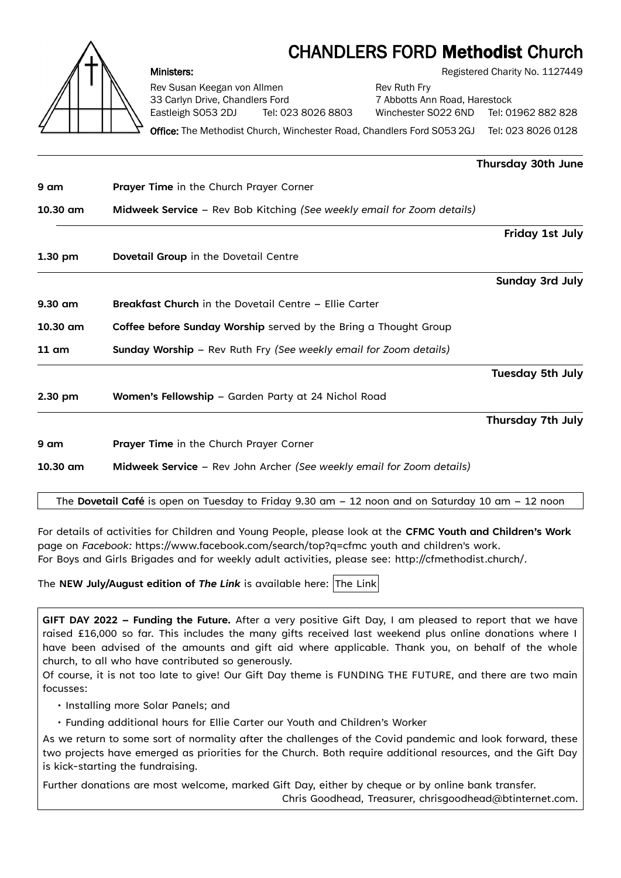## CHANDLERS FORD Methodist Church



Rev Susan Keegan von Allmen **Review Rev Ruth Fry** 33 Carlyn Drive, Chandlers Ford 7 Abbotts Ann Road, Harestock

Ministers: **Ministers: Registered Charity No. 1127449** 

Eastleigh SO53 2DJ Tel: 023 8026 8803 Winchester SO22 6ND Tel: 01962 882 828

Office: The Methodist Church, Winchester Road, Chandlers Ford SO53 2GJ Tel: 023 8026 0128

|                 |                                                                        | Thursday 30th June      |
|-----------------|------------------------------------------------------------------------|-------------------------|
| 9 am            | Prayer Time in the Church Prayer Corner                                |                         |
| $10.30$ am      | Midweek Service - Rev Bob Kitching (See weekly email for Zoom details) |                         |
|                 |                                                                        | Friday 1st July         |
| $1.30$ pm       | Dovetail Group in the Dovetail Centre                                  |                         |
|                 |                                                                        | Sunday 3rd July         |
| $9.30$ am       | <b>Breakfast Church</b> in the Dovetail Centre - Ellie Carter          |                         |
| $10.30$ am      | Coffee before Sunday Worship served by the Bring a Thought Group       |                         |
| $11 \text{ cm}$ | Sunday Worship - Rev Ruth Fry (See weekly email for Zoom details)      |                         |
|                 |                                                                        | <b>Tuesday 5th July</b> |
| $2.30$ pm       | Women's Fellowship - Garden Party at 24 Nichol Road                    |                         |
|                 |                                                                        | Thursday 7th July       |
| 9 am            | Prayer Time in the Church Prayer Corner                                |                         |
| 10.30 am        | Midweek Service - Rev John Archer (See weekly email for Zoom details)  |                         |
|                 |                                                                        |                         |

The **Dovetail Café** is open on Tuesday to Friday 9.30 am – 12 noon and on Saturday 10 am – 12 noon

For details of activities for Children and Young People, please look at the **CFMC Youth and Children's Work** page on *Facebook:* [https://www.facebook.com/search/top?q=cfmc youth and children's work](https://www.facebook.com/search/top?q=cfmc%20youth%20and%20children). For Boys and Girls Brigades and for weekly adult activities, please see: [http://cfmethodist.church/.](http://cfmethodist.church/)

The **NEW July/August edition of [The Link](https://www.cfmethodist.church/currentlink.php)** is available here: The Link

**GIFT DAY 2022 – Funding the Future.** After a very positive Gift Day, I am pleased to report that we have raised £16,000 so far. This includes the many gifts received last weekend plus online donations where I have been advised of the amounts and gift aid where applicable. Thank you, on behalf of the whole church, to all who have contributed so generously.

Of course, it is not too late to give! Our Gift Day theme is FUNDING THE FUTURE, and there are two main focusses:

- Installing more Solar Panels; and
- Funding additional hours for Ellie Carter our Youth and Children's Worker

As we return to some sort of normality after the challenges of the Covid pandemic and look forward, these two projects have emerged as priorities for the Church. Both require additional resources, and the Gift Day is kick-starting the fundraising.

Further donations are most welcome, marked Gift Day, either by cheque or by online bank transfer.

Chris Goodhead, Treasurer, chrisgoodhead@btinternet.com.